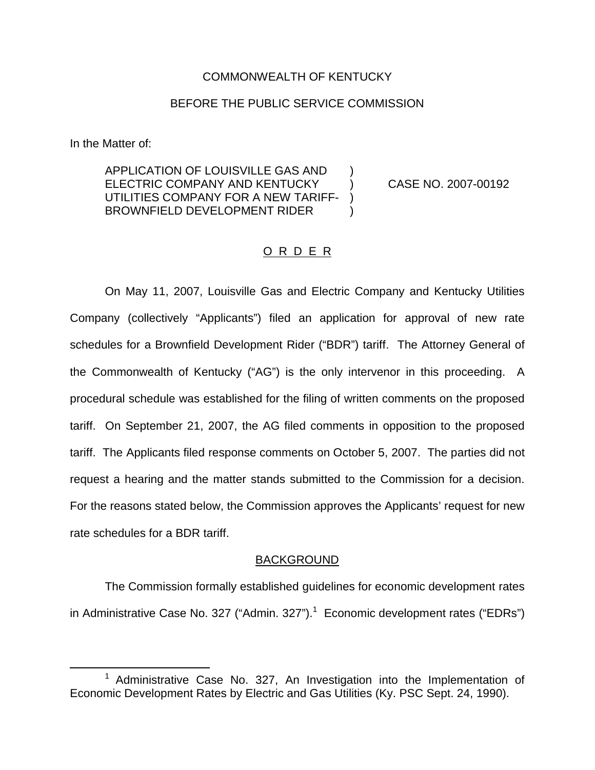## COMMONWEALTH OF KENTUCKY

## BEFORE THE PUBLIC SERVICE COMMISSION

In the Matter of:

APPLICATION OF LOUISVILLE GAS AND ) ELECTRIC COMPANY AND KENTUCKY ) CASE NO. 2007-00192 UTILITIES COMPANY FOR A NEW TARIFF- ) BROWNFIELD DEVELOPMENT RIDER )

# O R D E R

On May 11, 2007, Louisville Gas and Electric Company and Kentucky Utilities Company (collectively "Applicants") filed an application for approval of new rate schedules for a Brownfield Development Rider ("BDR") tariff. The Attorney General of the Commonwealth of Kentucky ("AG") is the only intervenor in this proceeding. A procedural schedule was established for the filing of written comments on the proposed tariff. On September 21, 2007, the AG filed comments in opposition to the proposed tariff. The Applicants filed response comments on October 5, 2007. The parties did not request a hearing and the matter stands submitted to the Commission for a decision. For the reasons stated below, the Commission approves the Applicants' request for new rate schedules for a BDR tariff.

#### BACKGROUND

The Commission formally established guidelines for economic development rates in Administrative Case No. 327 ("Admin. 327").<sup>1</sup> Economic development rates ("EDRs")

 $1$  Administrative Case No. 327. An Investigation into the Implementation of Economic Development Rates by Electric and Gas Utilities (Ky. PSC Sept. 24, 1990).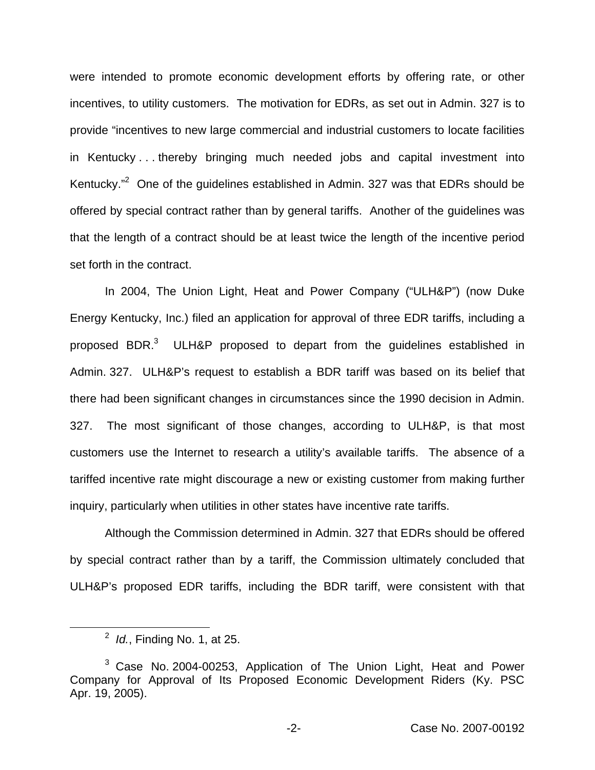were intended to promote economic development efforts by offering rate, or other incentives, to utility customers. The motivation for EDRs, as set out in Admin. 327 is to provide "incentives to new large commercial and industrial customers to locate facilities in Kentucky . . . thereby bringing much needed jobs and capital investment into Kentucky."<sup>2</sup> One of the guidelines established in Admin. 327 was that EDRs should be offered by special contract rather than by general tariffs. Another of the guidelines was that the length of a contract should be at least twice the length of the incentive period set forth in the contract.

In 2004, The Union Light, Heat and Power Company ("ULH&P") (now Duke Energy Kentucky, Inc.) filed an application for approval of three EDR tariffs, including a proposed BDR.3 ULH&P proposed to depart from the guidelines established in Admin. 327. ULH&P's request to establish a BDR tariff was based on its belief that there had been significant changes in circumstances since the 1990 decision in Admin. 327. The most significant of those changes, according to ULH&P, is that most customers use the Internet to research a utility's available tariffs. The absence of a tariffed incentive rate might discourage a new or existing customer from making further inquiry, particularly when utilities in other states have incentive rate tariffs.

Although the Commission determined in Admin. 327 that EDRs should be offered by special contract rather than by a tariff, the Commission ultimately concluded that ULH&P's proposed EDR tariffs, including the BDR tariff, were consistent with that

<sup>2</sup> *Id.*, Finding No. 1, at 25.

<sup>&</sup>lt;sup>3</sup> Case No. 2004-00253, Application of The Union Light, Heat and Power Company for Approval of Its Proposed Economic Development Riders (Ky. PSC Apr. 19, 2005).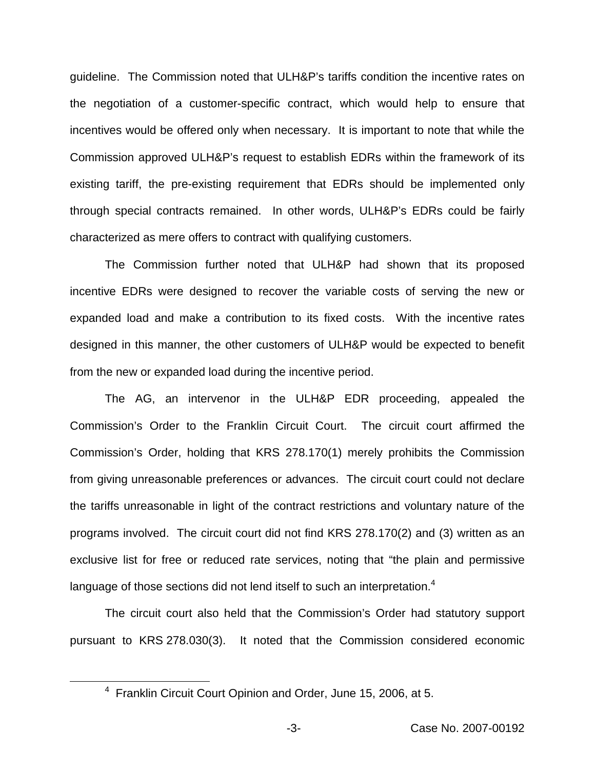guideline. The Commission noted that ULH&P's tariffs condition the incentive rates on the negotiation of a customer-specific contract, which would help to ensure that incentives would be offered only when necessary. It is important to note that while the Commission approved ULH&P's request to establish EDRs within the framework of its existing tariff, the pre-existing requirement that EDRs should be implemented only through special contracts remained. In other words, ULH&P's EDRs could be fairly characterized as mere offers to contract with qualifying customers.

The Commission further noted that ULH&P had shown that its proposed incentive EDRs were designed to recover the variable costs of serving the new or expanded load and make a contribution to its fixed costs. With the incentive rates designed in this manner, the other customers of ULH&P would be expected to benefit from the new or expanded load during the incentive period.

The AG, an intervenor in the ULH&P EDR proceeding, appealed the Commission's Order to the Franklin Circuit Court. The circuit court affirmed the Commission's Order, holding that KRS 278.170(1) merely prohibits the Commission from giving unreasonable preferences or advances. The circuit court could not declare the tariffs unreasonable in light of the contract restrictions and voluntary nature of the programs involved. The circuit court did not find KRS 278.170(2) and (3) written as an exclusive list for free or reduced rate services, noting that "the plain and permissive language of those sections did not lend itself to such an interpretation.<sup>4</sup>

The circuit court also held that the Commission's Order had statutory support pursuant to KRS 278.030(3). It noted that the Commission considered economic

<sup>4</sup> Franklin Circuit Court Opinion and Order, June 15, 2006, at 5.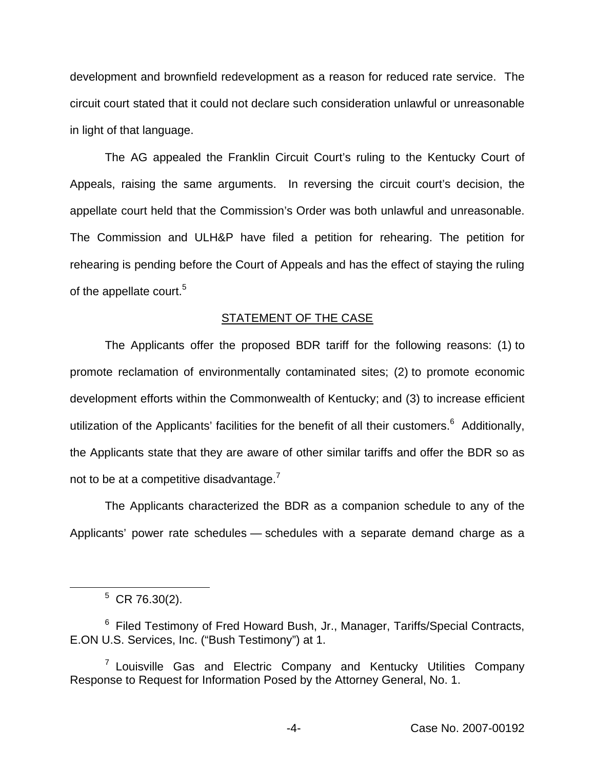development and brownfield redevelopment as a reason for reduced rate service. The circuit court stated that it could not declare such consideration unlawful or unreasonable in light of that language.

The AG appealed the Franklin Circuit Court's ruling to the Kentucky Court of Appeals, raising the same arguments. In reversing the circuit court's decision, the appellate court held that the Commission's Order was both unlawful and unreasonable. The Commission and ULH&P have filed a petition for rehearing. The petition for rehearing is pending before the Court of Appeals and has the effect of staying the ruling of the appellate court.<sup>5</sup>

## STATEMENT OF THE CASE

The Applicants offer the proposed BDR tariff for the following reasons: (1) to promote reclamation of environmentally contaminated sites; (2) to promote economic development efforts within the Commonwealth of Kentucky; and (3) to increase efficient utilization of the Applicants' facilities for the benefit of all their customers.<sup>6</sup> Additionally, the Applicants state that they are aware of other similar tariffs and offer the BDR so as not to be at a competitive disadvantage. $<sup>7</sup>$ </sup>

The Applicants characterized the BDR as a companion schedule to any of the Applicants' power rate schedules — schedules with a separate demand charge as a

 $5$  CR 76.30(2).

<sup>&</sup>lt;sup>6</sup> Filed Testimony of Fred Howard Bush, Jr., Manager, Tariffs/Special Contracts, E.ON U.S. Services, Inc. ("Bush Testimony") at 1.

 $7$  Louisville Gas and Electric Company and Kentucky Utilities Company Response to Request for Information Posed by the Attorney General, No. 1.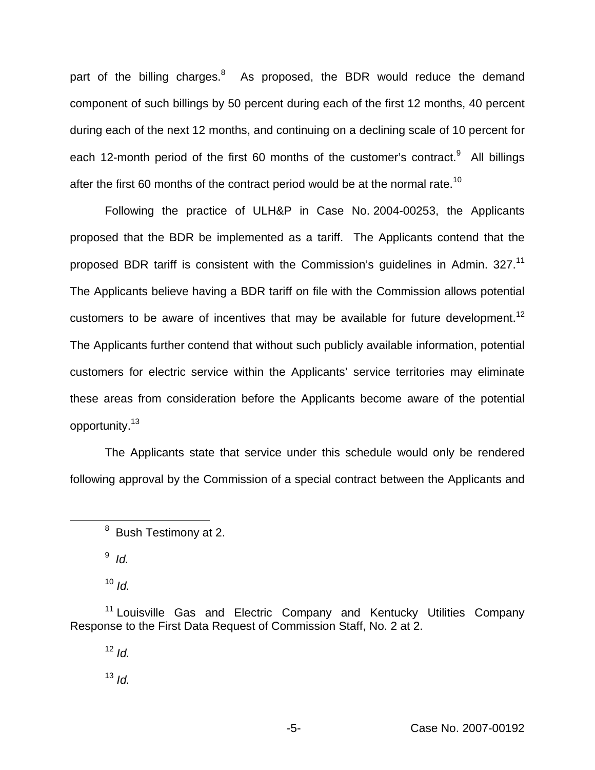part of the billing charges.<sup>8</sup> As proposed, the BDR would reduce the demand component of such billings by 50 percent during each of the first 12 months, 40 percent during each of the next 12 months, and continuing on a declining scale of 10 percent for each 12-month period of the first 60 months of the customer's contract. All billings after the first 60 months of the contract period would be at the normal rate.<sup>10</sup>

Following the practice of ULH&P in Case No. 2004-00253, the Applicants proposed that the BDR be implemented as a tariff. The Applicants contend that the proposed BDR tariff is consistent with the Commission's guidelines in Admin. 327.<sup>11</sup> The Applicants believe having a BDR tariff on file with the Commission allows potential customers to be aware of incentives that may be available for future development.<sup>12</sup> The Applicants further contend that without such publicly available information, potential customers for electric service within the Applicants' service territories may eliminate these areas from consideration before the Applicants become aware of the potential opportunity.<sup>13</sup>

The Applicants state that service under this schedule would only be rendered following approval by the Commission of a special contract between the Applicants and

<sup>9</sup> *Id.*

 $10<sub>1d</sub>$ 

<sup>11</sup> Louisville Gas and Electric Company and Kentucky Utilities Company Response to the First Data Request of Commission Staff, No. 2 at 2.

<sup>12</sup> *Id.*

 $13$  *Id.* 

<sup>&</sup>lt;sup>8</sup> Bush Testimony at 2.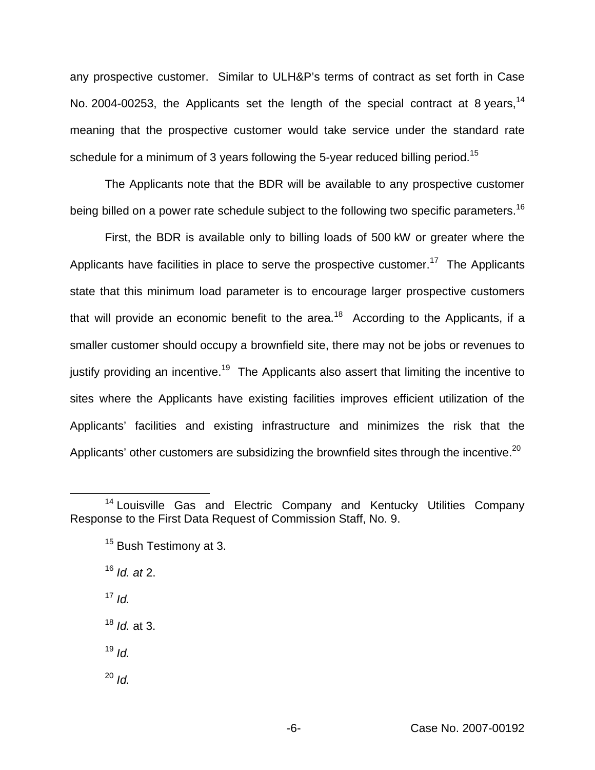any prospective customer. Similar to ULH&P's terms of contract as set forth in Case No. 2004-00253, the Applicants set the length of the special contract at 8 years.<sup>14</sup> meaning that the prospective customer would take service under the standard rate schedule for a minimum of 3 years following the 5-year reduced billing period.<sup>15</sup>

The Applicants note that the BDR will be available to any prospective customer being billed on a power rate schedule subject to the following two specific parameters.<sup>16</sup>

First, the BDR is available only to billing loads of 500 kW or greater where the Applicants have facilities in place to serve the prospective customer.<sup>17</sup> The Applicants state that this minimum load parameter is to encourage larger prospective customers that will provide an economic benefit to the area.<sup>18</sup> According to the Applicants, if a smaller customer should occupy a brownfield site, there may not be jobs or revenues to justify providing an incentive.<sup>19</sup> The Applicants also assert that limiting the incentive to sites where the Applicants have existing facilities improves efficient utilization of the Applicants' facilities and existing infrastructure and minimizes the risk that the Applicants' other customers are subsidizing the brownfield sites through the incentive.<sup>20</sup>

<sup>16</sup> *Id. at* 2.

<sup>17</sup> *Id.*

<sup>18</sup> *Id.* at 3.

 $19$  *Id*.

<sup>20</sup> *Id.*

<sup>&</sup>lt;sup>14</sup> Louisville Gas and Electric Company and Kentucky Utilities Company Response to the First Data Request of Commission Staff, No. 9.

<sup>&</sup>lt;sup>15</sup> Bush Testimony at 3.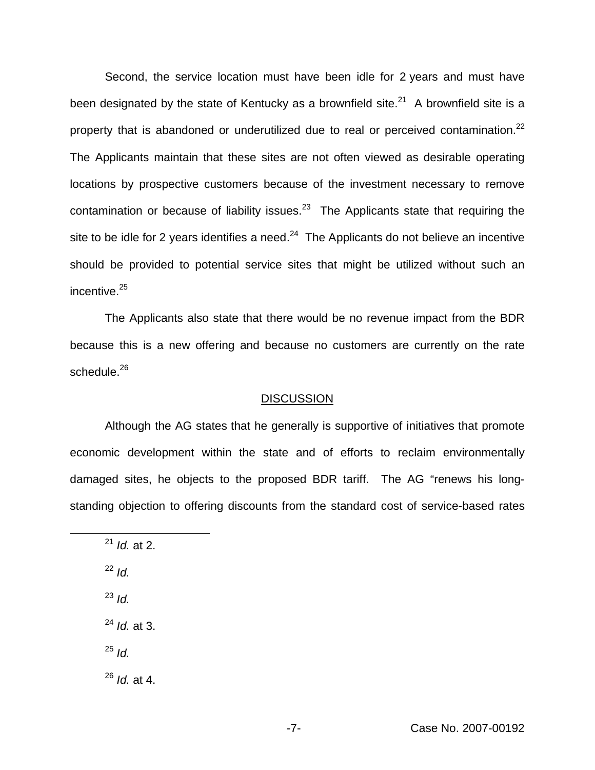Second, the service location must have been idle for 2 years and must have been designated by the state of Kentucky as a brownfield site.<sup>21</sup> A brownfield site is a property that is abandoned or underutilized due to real or perceived contamination.<sup>22</sup> The Applicants maintain that these sites are not often viewed as desirable operating locations by prospective customers because of the investment necessary to remove contamination or because of liability issues. $23$  The Applicants state that requiring the site to be idle for 2 years identifies a need. $^{24}$  The Applicants do not believe an incentive should be provided to potential service sites that might be utilized without such an incentive.<sup>25</sup>

The Applicants also state that there would be no revenue impact from the BDR because this is a new offering and because no customers are currently on the rate schedule.<sup>26</sup>

### **DISCUSSION**

Although the AG states that he generally is supportive of initiatives that promote economic development within the state and of efforts to reclaim environmentally damaged sites, he objects to the proposed BDR tariff. The AG "renews his longstanding objection to offering discounts from the standard cost of service-based rates

 $25$  *Id.* 

<sup>26</sup> *Id.* at 4.

<sup>21</sup> *Id.* at 2. <sup>22</sup> *Id.* <sup>23</sup> *Id.* <sup>24</sup> *Id.* at 3.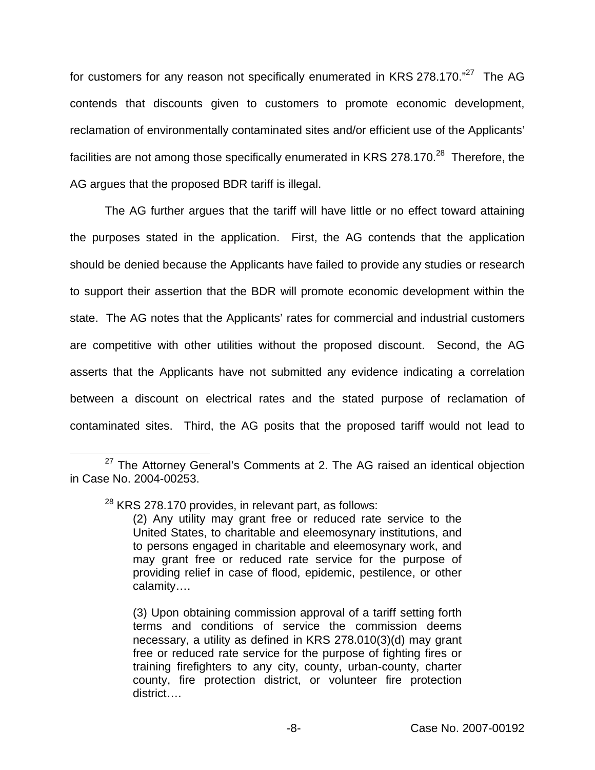for customers for any reason not specifically enumerated in KRS 278.170."<sup>27</sup> The AG contends that discounts given to customers to promote economic development, reclamation of environmentally contaminated sites and/or efficient use of the Applicants' facilities are not among those specifically enumerated in KRS 278.170.<sup>28</sup> Therefore, the AG argues that the proposed BDR tariff is illegal.

The AG further argues that the tariff will have little or no effect toward attaining the purposes stated in the application. First, the AG contends that the application should be denied because the Applicants have failed to provide any studies or research to support their assertion that the BDR will promote economic development within the state. The AG notes that the Applicants' rates for commercial and industrial customers are competitive with other utilities without the proposed discount. Second, the AG asserts that the Applicants have not submitted any evidence indicating a correlation between a discount on electrical rates and the stated purpose of reclamation of contaminated sites. Third, the AG posits that the proposed tariff would not lead to

 $27$  The Attorney General's Comments at 2. The AG raised an identical objection in Case No. 2004-00253.

 $^{28}$  KRS 278.170 provides, in relevant part, as follows:

<sup>(2)</sup> Any utility may grant free or reduced rate service to the United States, to charitable and eleemosynary institutions, and to persons engaged in charitable and eleemosynary work, and may grant free or reduced rate service for the purpose of providing relief in case of flood, epidemic, pestilence, or other calamity….

<sup>(3)</sup> Upon obtaining commission approval of a tariff setting forth terms and conditions of service the commission deems necessary, a utility as defined in KRS 278.010(3)(d) may grant free or reduced rate service for the purpose of fighting fires or training firefighters to any city, county, urban-county, charter county, fire protection district, or volunteer fire protection district….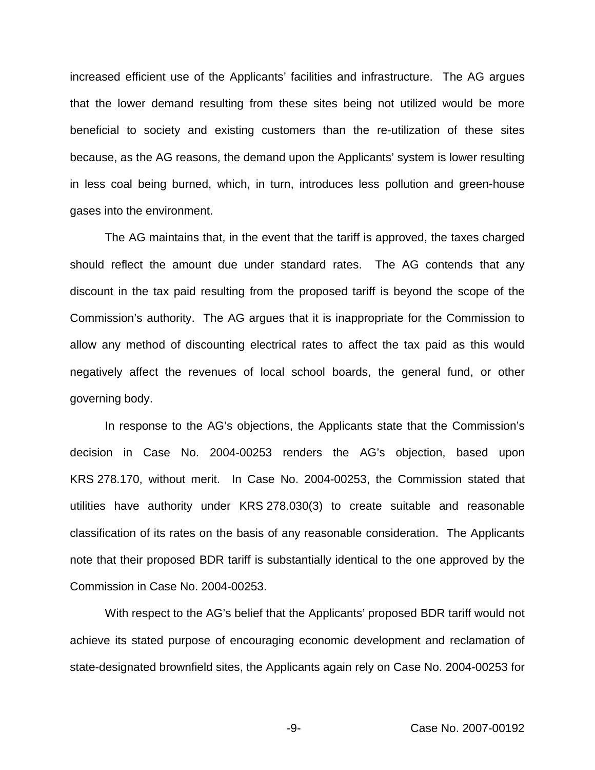increased efficient use of the Applicants' facilities and infrastructure. The AG argues that the lower demand resulting from these sites being not utilized would be more beneficial to society and existing customers than the re-utilization of these sites because, as the AG reasons, the demand upon the Applicants' system is lower resulting in less coal being burned, which, in turn, introduces less pollution and green-house gases into the environment.

The AG maintains that, in the event that the tariff is approved, the taxes charged should reflect the amount due under standard rates. The AG contends that any discount in the tax paid resulting from the proposed tariff is beyond the scope of the Commission's authority. The AG argues that it is inappropriate for the Commission to allow any method of discounting electrical rates to affect the tax paid as this would negatively affect the revenues of local school boards, the general fund, or other governing body.

In response to the AG's objections, the Applicants state that the Commission's decision in Case No. 2004-00253 renders the AG's objection, based upon KRS 278.170, without merit. In Case No. 2004-00253, the Commission stated that utilities have authority under KRS 278.030(3) to create suitable and reasonable classification of its rates on the basis of any reasonable consideration. The Applicants note that their proposed BDR tariff is substantially identical to the one approved by the Commission in Case No. 2004-00253.

With respect to the AG's belief that the Applicants' proposed BDR tariff would not achieve its stated purpose of encouraging economic development and reclamation of state-designated brownfield sites, the Applicants again rely on Case No. 2004-00253 for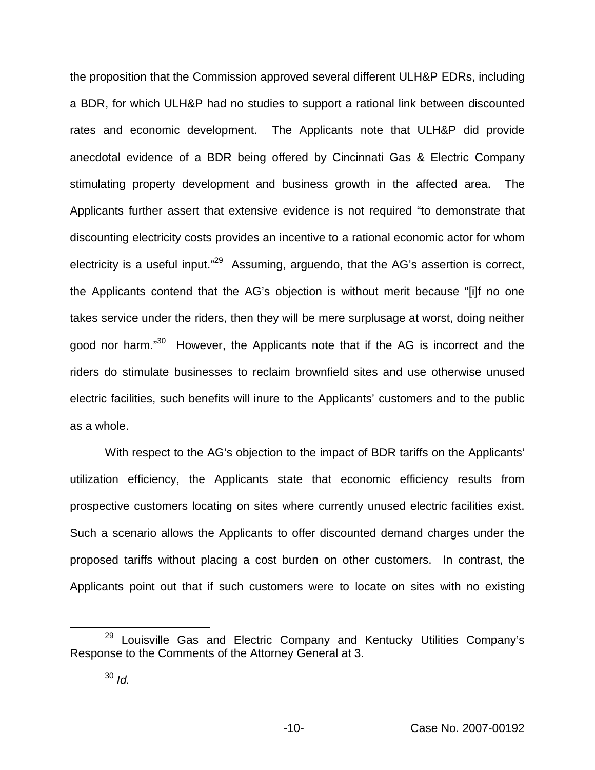the proposition that the Commission approved several different ULH&P EDRs, including a BDR, for which ULH&P had no studies to support a rational link between discounted rates and economic development. The Applicants note that ULH&P did provide anecdotal evidence of a BDR being offered by Cincinnati Gas & Electric Company stimulating property development and business growth in the affected area. The Applicants further assert that extensive evidence is not required "to demonstrate that discounting electricity costs provides an incentive to a rational economic actor for whom electricity is a useful input."<sup>29</sup> Assuming, arguendo, that the AG's assertion is correct, the Applicants contend that the AG's objection is without merit because "[i]f no one takes service under the riders, then they will be mere surplusage at worst, doing neither good nor harm."30 However, the Applicants note that if the AG is incorrect and the riders do stimulate businesses to reclaim brownfield sites and use otherwise unused electric facilities, such benefits will inure to the Applicants' customers and to the public as a whole.

With respect to the AG's objection to the impact of BDR tariffs on the Applicants' utilization efficiency, the Applicants state that economic efficiency results from prospective customers locating on sites where currently unused electric facilities exist. Such a scenario allows the Applicants to offer discounted demand charges under the proposed tariffs without placing a cost burden on other customers. In contrast, the Applicants point out that if such customers were to locate on sites with no existing

<sup>&</sup>lt;sup>29</sup> Louisville Gas and Electric Company and Kentucky Utilities Company's Response to the Comments of the Attorney General at 3.

<sup>30</sup> *Id.*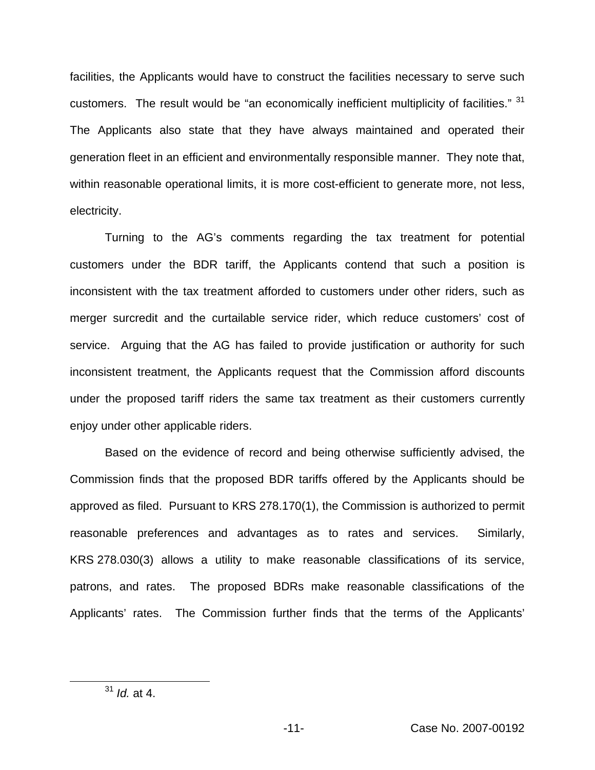facilities, the Applicants would have to construct the facilities necessary to serve such customers. The result would be "an economically inefficient multiplicity of facilities." <sup>31</sup> The Applicants also state that they have always maintained and operated their generation fleet in an efficient and environmentally responsible manner. They note that, within reasonable operational limits, it is more cost-efficient to generate more, not less, electricity.

Turning to the AG's comments regarding the tax treatment for potential customers under the BDR tariff, the Applicants contend that such a position is inconsistent with the tax treatment afforded to customers under other riders, such as merger surcredit and the curtailable service rider, which reduce customers' cost of service. Arguing that the AG has failed to provide justification or authority for such inconsistent treatment, the Applicants request that the Commission afford discounts under the proposed tariff riders the same tax treatment as their customers currently enjoy under other applicable riders.

Based on the evidence of record and being otherwise sufficiently advised, the Commission finds that the proposed BDR tariffs offered by the Applicants should be approved as filed. Pursuant to KRS 278.170(1), the Commission is authorized to permit reasonable preferences and advantages as to rates and services. Similarly, KRS 278.030(3) allows a utility to make reasonable classifications of its service, patrons, and rates. The proposed BDRs make reasonable classifications of the Applicants' rates. The Commission further finds that the terms of the Applicants'

<sup>31</sup> *Id.* at 4.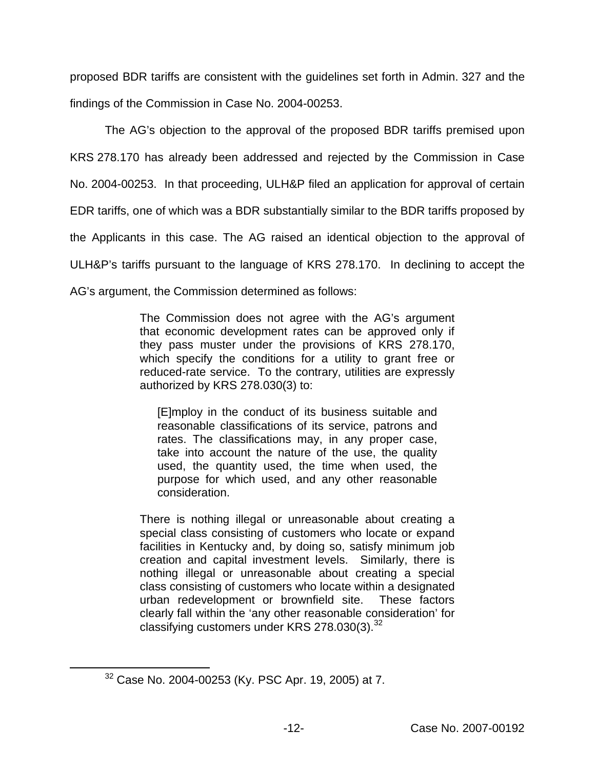proposed BDR tariffs are consistent with the guidelines set forth in Admin. 327 and the findings of the Commission in Case No. 2004-00253.

The AG's objection to the approval of the proposed BDR tariffs premised upon KRS 278.170 has already been addressed and rejected by the Commission in Case No. 2004-00253. In that proceeding, ULH&P filed an application for approval of certain EDR tariffs, one of which was a BDR substantially similar to the BDR tariffs proposed by the Applicants in this case. The AG raised an identical objection to the approval of ULH&P's tariffs pursuant to the language of KRS 278.170. In declining to accept the AG's argument, the Commission determined as follows:

> The Commission does not agree with the AG's argument that economic development rates can be approved only if they pass muster under the provisions of KRS 278.170, which specify the conditions for a utility to grant free or reduced-rate service. To the contrary, utilities are expressly authorized by KRS 278.030(3) to:

[E]mploy in the conduct of its business suitable and reasonable classifications of its service, patrons and rates. The classifications may, in any proper case, take into account the nature of the use, the quality used, the quantity used, the time when used, the purpose for which used, and any other reasonable consideration.

There is nothing illegal or unreasonable about creating a special class consisting of customers who locate or expand facilities in Kentucky and, by doing so, satisfy minimum job creation and capital investment levels. Similarly, there is nothing illegal or unreasonable about creating a special class consisting of customers who locate within a designated urban redevelopment or brownfield site. These factors clearly fall within the 'any other reasonable consideration' for classifying customers under KRS 278.030(3).<sup>32</sup>

 $32$  Case No. 2004-00253 (Ky. PSC Apr. 19, 2005) at 7.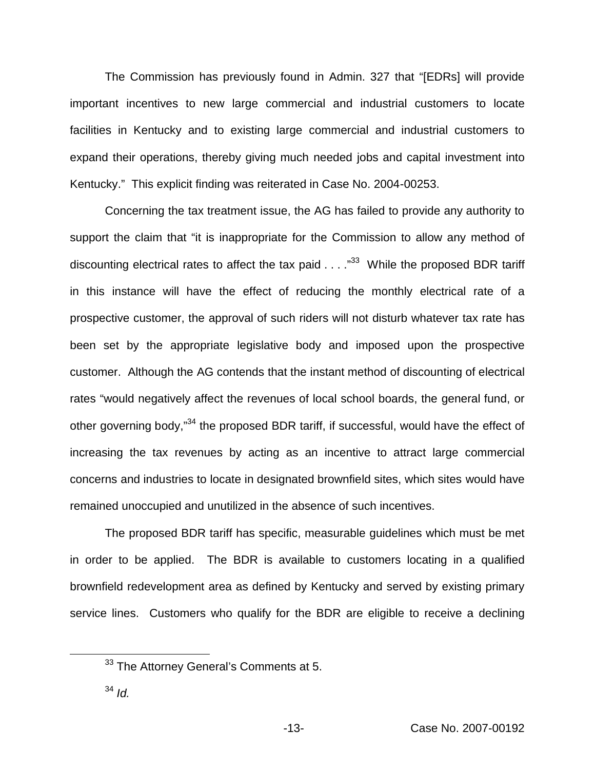The Commission has previously found in Admin. 327 that "[EDRs] will provide important incentives to new large commercial and industrial customers to locate facilities in Kentucky and to existing large commercial and industrial customers to expand their operations, thereby giving much needed jobs and capital investment into Kentucky." This explicit finding was reiterated in Case No. 2004-00253.

Concerning the tax treatment issue, the AG has failed to provide any authority to support the claim that "it is inappropriate for the Commission to allow any method of discounting electrical rates to affect the tax paid  $\ldots$ ."<sup>33</sup> While the proposed BDR tariff in this instance will have the effect of reducing the monthly electrical rate of a prospective customer, the approval of such riders will not disturb whatever tax rate has been set by the appropriate legislative body and imposed upon the prospective customer. Although the AG contends that the instant method of discounting of electrical rates "would negatively affect the revenues of local school boards, the general fund, or other governing body,"34 the proposed BDR tariff, if successful, would have the effect of increasing the tax revenues by acting as an incentive to attract large commercial concerns and industries to locate in designated brownfield sites, which sites would have remained unoccupied and unutilized in the absence of such incentives.

The proposed BDR tariff has specific, measurable guidelines which must be met in order to be applied. The BDR is available to customers locating in a qualified brownfield redevelopment area as defined by Kentucky and served by existing primary service lines. Customers who qualify for the BDR are eligible to receive a declining

<sup>&</sup>lt;sup>33</sup> The Attorney General's Comments at 5.

<sup>34</sup> *Id.*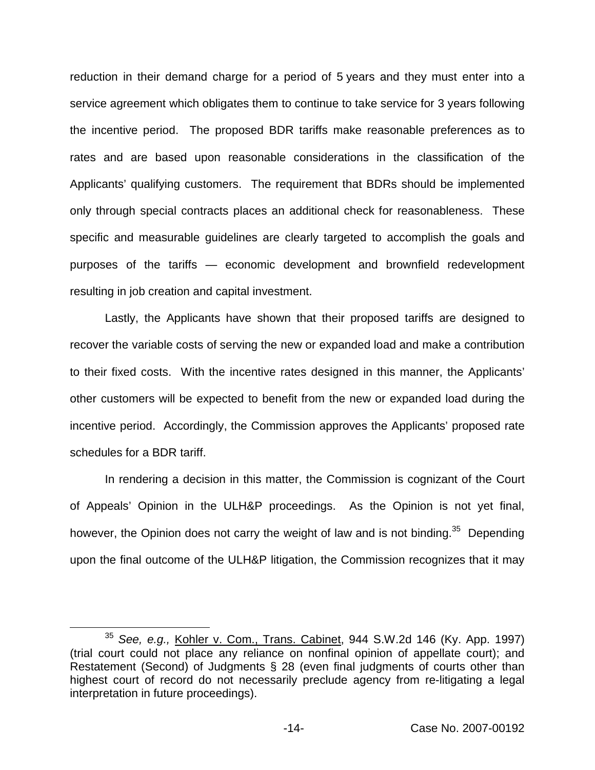reduction in their demand charge for a period of 5 years and they must enter into a service agreement which obligates them to continue to take service for 3 years following the incentive period. The proposed BDR tariffs make reasonable preferences as to rates and are based upon reasonable considerations in the classification of the Applicants' qualifying customers. The requirement that BDRs should be implemented only through special contracts places an additional check for reasonableness. These specific and measurable guidelines are clearly targeted to accomplish the goals and purposes of the tariffs — economic development and brownfield redevelopment resulting in job creation and capital investment.

Lastly, the Applicants have shown that their proposed tariffs are designed to recover the variable costs of serving the new or expanded load and make a contribution to their fixed costs. With the incentive rates designed in this manner, the Applicants' other customers will be expected to benefit from the new or expanded load during the incentive period. Accordingly, the Commission approves the Applicants' proposed rate schedules for a BDR tariff.

In rendering a decision in this matter, the Commission is cognizant of the Court of Appeals' Opinion in the ULH&P proceedings. As the Opinion is not yet final, however, the Opinion does not carry the weight of law and is not binding.<sup>35</sup> Depending upon the final outcome of the ULH&P litigation, the Commission recognizes that it may

<sup>35</sup> *See, e.g.,* Kohler v. Com., Trans. Cabinet, 944 S.W.2d 146 (Ky. App. 1997) (trial court could not place any reliance on nonfinal opinion of appellate court); and Restatement (Second) of Judgments § 28 (even final judgments of courts other than highest court of record do not necessarily preclude agency from re-litigating a legal interpretation in future proceedings).